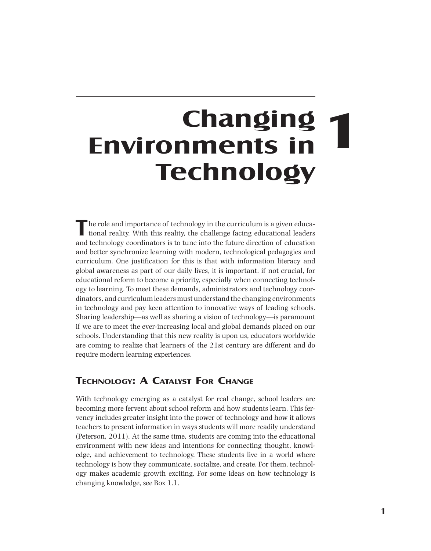# **1 Changing Environments in Technology**

The role and importance of technology in the curriculum is a given educational reality. With this reality, the challenge facing educational leaders and technology coordinators is to tune into the future direction of education and better synchronize learning with modern, technological pedagogies and curriculum. One justification for this is that with information literacy and global awareness as part of our daily lives, it is important, if not crucial, for educational reform to become a priority, especially when connecting technology to learning. To meet these demands, administrators and technology coordinators, and curriculum leaders must understand the changing environments in technology and pay keen attention to innovative ways of leading schools. Sharing leadership—as well as sharing a vision of technology—is paramount if we are to meet the ever-increasing local and global demands placed on our schools. Understanding that this new reality is upon us, educators worldwide are coming to realize that learners of the 21st century are different and do require modern learning experiences.

# **Technology: A Catalyst For Change**

With technology emerging as a catalyst for real change, school leaders are becoming more fervent about school reform and how students learn. This fervency includes greater insight into the power of technology and how it allows teachers to present information in ways students will more readily understand (Peterson, 2011). At the same time, students are coming into the educational environment with new ideas and intentions for connecting thought, knowledge, and achievement to technology. These students live in a world where technology is how they communicate, socialize, and create. For them, technology makes academic growth exciting. For some ideas on how technology is changing knowledge, see Box 1.1.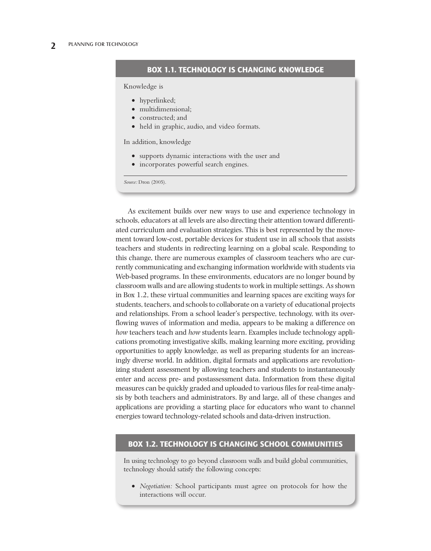#### BOX 1.1. TECHNOLOGY IS CHANGING KNOWLEDGE

Knowledge is

- hyperlinked;
- multidimensional;
- constructed; and
- held in graphic, audio, and video formats.

In addition, knowledge

- supports dynamic interactions with the user and
- incorporates powerful search engines.

*Source:* Dron (2005).

As excitement builds over new ways to use and experience technology in schools, educators at all levels are also directing their attention toward differentiated curriculum and evaluation strategies. This is best represented by the movement toward low-cost, portable devices for student use in all schools that assists teachers and students in redirecting learning on a global scale. Responding to this change, there are numerous examples of classroom teachers who are currently communicating and exchanging information worldwide with students via Web-based programs. In these environments, educators are no longer bound by classroom walls and are allowing students to work in multiple settings. As shown in Box 1.2, these virtual communities and learning spaces are exciting ways for students, teachers, and schools to collaborate on a variety of educational projects and relationships. From a school leader's perspective, technology, with its overflowing waves of information and media, appears to be making a difference on *how* teachers teach and *how* students learn. Examples include technology applications promoting investigative skills, making learning more exciting, providing opportunities to apply knowledge, as well as preparing students for an increasingly diverse world. In addition, digital formats and applications are revolutionizing student assessment by allowing teachers and students to instantaneously enter and access pre- and postassessment data. Information from these digital measures can be quickly graded and uploaded to various files for real-time analysis by both teachers and administrators. By and large, all of these changes and applications are providing a starting place for educators who want to channel energies toward technology-related schools and data-driven instruction.

#### BOX 1.2. TECHNOLOGY IS CHANGING SCHOOL COMMUNITIES

In using technology to go beyond classroom walls and build global communities, technology should satisfy the following concepts:

• *Negotiation:* School participants must agree on protocols for how the interactions will occur.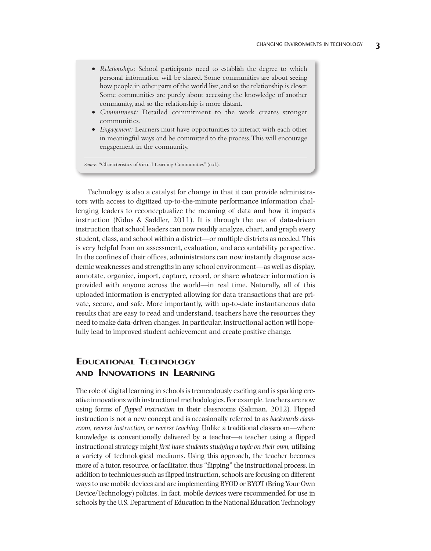- *Relationships:* School participants need to establish the degree to which personal information will be shared. Some communities are about seeing how people in other parts of the world live, and so the relationship is closer. Some communities are purely about accessing the knowledge of another community, and so the relationship is more distant.
- *Commitment:* Detailed commitment to the work creates stronger communities.
- *Engagement:* Learners must have opportunities to interact with each other in meaningful ways and be committed to the process. This will encourage engagement in the community.

*Source:* "Characteristics of Virtual Learning Communities" (n.d.).

Technology is also a catalyst for change in that it can provide administrators with access to digitized up-to-the-minute performance information challenging leaders to reconceptualize the meaning of data and how it impacts instruction (Nidus & Saddler, 2011). It is through the use of data-driven instruction that school leaders can now readily analyze, chart, and graph every student, class, and school within a district—or multiple districts as needed. This is very helpful from an assessment, evaluation, and accountability perspective. In the confines of their offices, administrators can now instantly diagnose academic weaknesses and strengths in any school environment—as well as display, annotate, organize, import, capture, record, or share whatever information is provided with anyone across the world—in real time. Naturally, all of this uploaded information is encrypted allowing for data transactions that are private, secure, and safe. More importantly, with up-to-date instantaneous data results that are easy to read and understand, teachers have the resources they need to make data-driven changes. In particular, instructional action will hopefully lead to improved student achievement and create positive change.

## **Educational Technology and Innovations in Learning**

The role of digital learning in schools is tremendously exciting and is sparking creative innovations with instructional methodologies. For example, teachers are now using forms of *flipped instruction* in their classrooms (Saltman, 2012). Flipped instruction is not a new concept and is occasionally referred to as *backwards classroom, reverse instruction,* or *reverse teaching.* Unlike a traditional classroom—where knowledge is conventionally delivered by a teacher—a teacher using a flipped instructional strategy might *first have students studying a topic on their own,* utilizing a variety of technological mediums. Using this approach, the teacher becomes more of a tutor, resource, or facilitator, thus "flipping" the instructional process. In addition to techniques such as flipped instruction, schools are focusing on different ways to use mobile devices and are implementing BYOD or BYOT (Bring Your Own Device/Technology) policies. In fact, mobile devices were recommended for use in schools by the U.S. Department of Education in the National Education Technology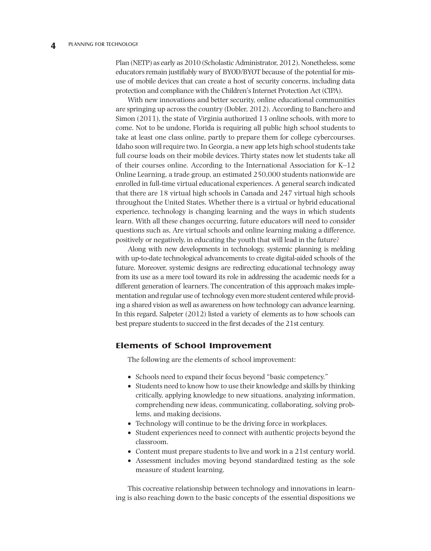Plan (NETP) as early as 2010 (Scholastic Administrator, 2012). Nonetheless, some educators remain justifiably wary of BYOD/BYOT because of the potential for misuse of mobile devices that can create a host of security concerns, including data protection and compliance with the Children's Internet Protection Act (CIPA).

With new innovations and better security, online educational communities are springing up across the country (Dobler, 2012). According to Banchero and Simon (2011), the state of Virginia authorized 13 online schools, with more to come. Not to be undone, Florida is requiring all public high school students to take at least one class online, partly to prepare them for college cybercourses. Idaho soon will require two. In Georgia, a new app lets high school students take full course loads on their mobile devices. Thirty states now let students take all of their courses online. According to the International Association for K–12 Online Learning, a trade group, an estimated 250,000 students nationwide are enrolled in full-time virtual educational experiences. A general search indicated that there are 18 virtual high schools in Canada and 247 virtual high schools throughout the United States. Whether there is a virtual or hybrid educational experience, technology is changing learning and the ways in which students learn. With all these changes occurring, future educators will need to consider questions such as, Are virtual schools and online learning making a difference, positively or negatively, in educating the youth that will lead in the future?

Along with new developments in technology, systemic planning is melding with up-to-date technological advancements to create digital-aided schools of the future. Moreover, systemic designs are redirecting educational technology away from its use as a mere tool toward its role in addressing the academic needs for a different generation of learners. The concentration of this approach makes implementation and regular use of technology even more student centered while providing a shared vision as well as awareness on how technology can advance learning. In this regard, Salpeter (2012) listed a variety of elements as to how schools can best prepare students to succeed in the first decades of the 21st century.

## **Elements of School Improvement**

The following are the elements of school improvement:

- Schools need to expand their focus beyond "basic competency."
- Students need to know how to use their knowledge and skills by thinking critically, applying knowledge to new situations, analyzing information, comprehending new ideas, communicating, collaborating, solving problems, and making decisions.
- Technology will continue to be the driving force in workplaces.
- Student experiences need to connect with authentic projects beyond the classroom.
- Content must prepare students to live and work in a 21st century world.
- Assessment includes moving beyond standardized testing as the sole measure of student learning.

This cocreative relationship between technology and innovations in learning is also reaching down to the basic concepts of the essential dispositions we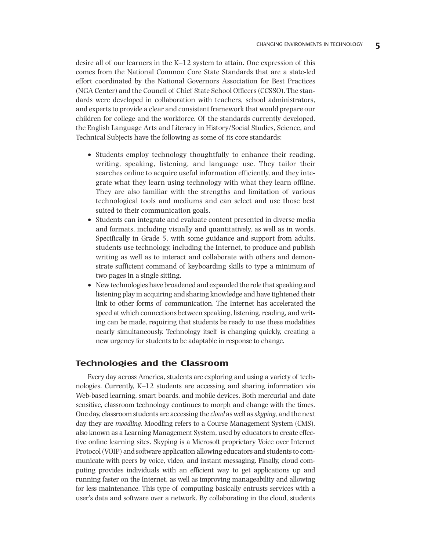desire all of our learners in the K–12 system to attain. One expression of this comes from the National Common Core State Standards that are a state-led effort coordinated by the National Governors Association for Best Practices (NGA Center) and the Council of Chief State School Officers (CCSSO). The standards were developed in collaboration with teachers, school administrators, and experts to provide a clear and consistent framework that would prepare our children for college and the workforce. Of the standards currently developed, the English Language Arts and Literacy in History/Social Studies, Science, and Technical Subjects have the following as some of its core standards:

- Students employ technology thoughtfully to enhance their reading, writing, speaking, listening, and language use. They tailor their searches online to acquire useful information efficiently, and they integrate what they learn using technology with what they learn offline. They are also familiar with the strengths and limitation of various technological tools and mediums and can select and use those best suited to their communication goals.
- Students can integrate and evaluate content presented in diverse media and formats, including visually and quantitatively, as well as in words. Specifically in Grade 5, with some guidance and support from adults, students use technology, including the Internet, to produce and publish writing as well as to interact and collaborate with others and demonstrate sufficient command of keyboarding skills to type a minimum of two pages in a single sitting.
- New technologies have broadened and expanded the role that speaking and listening play in acquiring and sharing knowledge and have tightened their link to other forms of communication. The Internet has accelerated the speed at which connections between speaking, listening, reading, and writing can be made, requiring that students be ready to use these modalities nearly simultaneously. Technology itself is changing quickly, creating a new urgency for students to be adaptable in response to change.

## **Technologies and the Classroom**

Every day across America, students are exploring and using a variety of technologies. Currently, K–12 students are accessing and sharing information via Web-based learning, smart boards, and mobile devices. Both mercurial and date sensitive, classroom technology continues to morph and change with the times. One day, classroom students are accessing the *cloud* as well as *skyping,* and the next day they are *moodling.* Moodling refers to a Course Management System (CMS), also known as a Learning Management System, used by educators to create effective online learning sites. Skyping is a Microsoft proprietary Voice over Internet Protocol (VOIP) and software application allowing educators and students to communicate with peers by voice, video, and instant messaging. Finally, cloud computing provides individuals with an efficient way to get applications up and running faster on the Internet, as well as improving manageability and allowing for less maintenance. This type of computing basically entrusts services with a user's data and software over a network. By collaborating in the cloud, students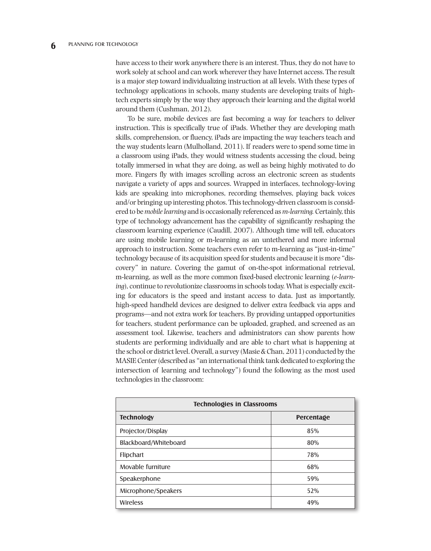have access to their work anywhere there is an interest. Thus, they do not have to work solely at school and can work wherever they have Internet access. The result is a major step toward individualizing instruction at all levels. With these types of technology applications in schools, many students are developing traits of hightech experts simply by the way they approach their learning and the digital world around them (Cushman, 2012).

To be sure, mobile devices are fast becoming a way for teachers to deliver instruction. This is specifically true of iPads. Whether they are developing math skills, comprehension, or fluency, iPads are impacting the way teachers teach and the way students learn (Mulholland, 2011). If readers were to spend some time in a classroom using iPads, they would witness students accessing the cloud, being totally immersed in what they are doing, as well as being highly motivated to do more. Fingers fly with images scrolling across an electronic screen as students navigate a variety of apps and sources. Wrapped in interfaces, technology-loving kids are speaking into microphones, recording themselves, playing back voices and/or bringing up interesting photos. This technology-driven classroom is considered to be *mobile learning* and is occasionally referenced as *m-learning.* Certainly, this type of technology advancement has the capability of significantly reshaping the classroom learning experience (Caudill, 2007). Although time will tell, educators are using mobile learning or m-learning as an untethered and more informal approach to instruction. Some teachers even refer to m-learning as "just-in-time" technology because of its acquisition speed for students and because it is more "discovery" in nature. Covering the gamut of on-the-spot informational retrieval, m-learning, as well as the more common fixed-based electronic learning (*e-learning*), continue to revolutionize classrooms in schools today. What is especially exciting for educators is the speed and instant access to data. Just as importantly, high-speed handheld devices are designed to deliver extra feedback via apps and programs—and not extra work for teachers. By providing untapped opportunities for teachers, student performance can be uploaded, graphed, and screened as an assessment tool. Likewise, teachers and administrators can show parents how students are performing individually and are able to chart what is happening at the school or district level. Overall, a survey (Masie & Chan, 2011) conducted by the MASIE Center (described as "an international think tank dedicated to exploring the intersection of learning and technology") found the following as the most used technologies in the classroom:

| <b>Technologies in Classrooms</b> |                   |
|-----------------------------------|-------------------|
| <b>Technology</b>                 | <b>Percentage</b> |
| Projector/Display                 | 85%               |
| Blackboard/Whiteboard             | 80%               |
| Flipchart                         | 78%               |
| Movable furniture                 | 68%               |
| Speakerphone                      | 59%               |
| Microphone/Speakers               | 52%               |
| Wireless                          | 49%               |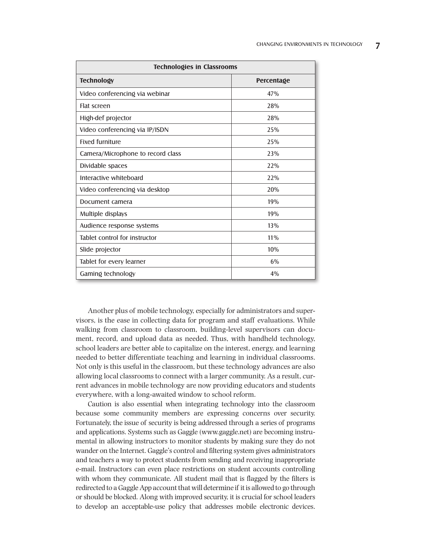| <b>Technologies in Classrooms</b> |                   |
|-----------------------------------|-------------------|
| <b>Technology</b>                 | <b>Percentage</b> |
| Video conferencing via webinar    | 47%               |
| <b>Flat screen</b>                | 28%               |
| High-def projector                | 28%               |
| Video conferencing via IP/ISDN    | 25%               |
| <b>Fixed furniture</b>            | 25%               |
| Camera/Microphone to record class | 23%               |
| Dividable spaces                  | 22%               |
| Interactive whiteboard            | 22%               |
| Video conferencing via desktop    | 20%               |
| Document camera                   | 19%               |
| Multiple displays                 | 19%               |
| Audience response systems         | 13%               |
| Tablet control for instructor     | 11%               |
| Slide projector                   | 10%               |
| Tablet for every learner          | 6%                |
| Gaming technology                 | 4%                |

Another plus of mobile technology, especially for administrators and supervisors, is the ease in collecting data for program and staff evaluations. While walking from classroom to classroom, building-level supervisors can document, record, and upload data as needed. Thus, with handheld technology, school leaders are better able to capitalize on the interest, energy, and learning needed to better differentiate teaching and learning in individual classrooms. Not only is this useful in the classroom, but these technology advances are also allowing local classrooms to connect with a larger community. As a result, current advances in mobile technology are now providing educators and students everywhere, with a long-awaited window to school reform.

Caution is also essential when integrating technology into the classroom because some community members are expressing concerns over security. Fortunately, the issue of security is being addressed through a series of programs and applications. Systems such as Gaggle (www.gaggle.net) are becoming instrumental in allowing instructors to monitor students by making sure they do not wander on the Internet. Gaggle's control and filtering system gives administrators and teachers a way to protect students from sending and receiving inappropriate e-mail. Instructors can even place restrictions on student accounts controlling with whom they communicate. All student mail that is flagged by the filters is redirected to a Gaggle App account that will determine if it is allowed to go through or should be blocked. Along with improved security, it is crucial for school leaders to develop an acceptable-use policy that addresses mobile electronic devices.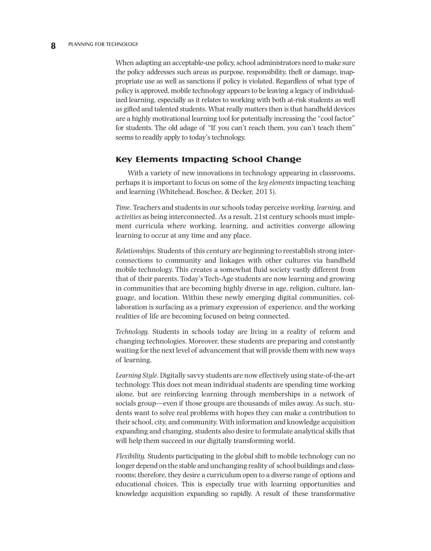When adapting an acceptable-use policy, school administrators need to make sure the policy addresses such areas as purpose, responsibility, theft or damage, inappropriate use as well as sanctions if policy is violated. Regardless of what type of policy is approved, mobile technology appears to be leaving a legacy of individualized learning, especially as it relates to working with both at-risk students as well as gifted and talented students. What really matters then is that handheld devices are a highly motivational learning tool for potentially increasing the "cool factor" for students. The old adage of "If you can't reach them, you can't teach them" seems to readily apply to today's technology.

## **Key Elements Impacting School Change**

With a variety of new innovations in technology appearing in classrooms, perhaps it is important to focus on some of the *key elements* impacting teaching and learning (Whitehead, Boschee, & Decker, 2013).

*Time.* Teachers and students in our schools today perceive *working, learning,* and *activities* as being interconnected. As a result, 21st century schools must implement curricula where working, learning, and activities converge allowing learning to occur at any time and any place.

*Relationships.* Students of this century are beginning to reestablish strong interconnections to community and linkages with other cultures via handheld mobile technology. This creates a somewhat fluid society vastly different from that of their parents. Today's Tech-Age students are now learning and growing in communities that are becoming highly diverse in age, religion, culture, language, and location. Within these newly emerging digital communities, collaboration is surfacing as a primary expression of experience, and the working realities of life are becoming focused on being connected.

*Technology.* Students in schools today are living in a reality of reform and changing technologies. Moreover, these students are preparing and constantly waiting for the next level of advancement that will provide them with new ways of learning.

*Learning Style.* Digitally savvy students are now effectively using state-of-the-art technology. This does not mean individual students are spending time working alone, but are reinforcing learning through memberships in a network of socials group—even if those groups are thousands of miles away. As such, students want to solve real problems with hopes they can make a contribution to their school, city, and community. With information and knowledge acquisition expanding and changing, students also desire to formulate analytical skills that will help them succeed in our digitally transforming world.

*Flexibility.* Students participating in the global shift to mobile technology can no longer depend on the stable and unchanging reality of school buildings and classrooms; therefore, they desire a curriculum open to a diverse range of options and educational choices. This is especially true with learning opportunities and knowledge acquisition expanding so rapidly. A result of these transformative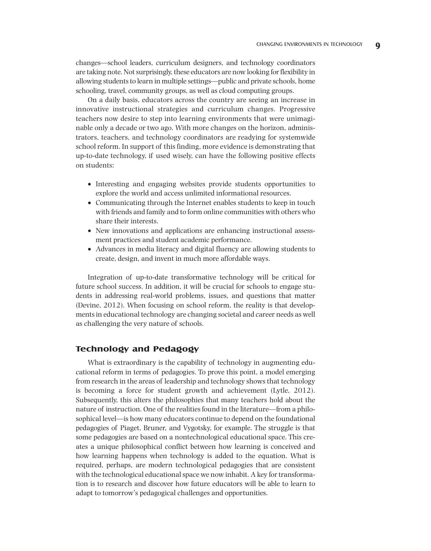changes—school leaders, curriculum designers, and technology coordinators are taking note. Not surprisingly, these educators are now looking for flexibility in allowing students to learn in multiple settings—public and private schools, home schooling, travel, community groups, as well as cloud computing groups.

On a daily basis, educators across the country are seeing an increase in innovative instructional strategies and curriculum changes. Progressive teachers now desire to step into learning environments that were unimaginable only a decade or two ago. With more changes on the horizon, administrators, teachers, and technology coordinators are readying for systemwide school reform. In support of this finding, more evidence is demonstrating that up-to-date technology, if used wisely, can have the following positive effects on students:

- Interesting and engaging websites provide students opportunities to explore the world and access unlimited informational resources.
- Communicating through the Internet enables students to keep in touch with friends and family and to form online communities with others who share their interests.
- New innovations and applications are enhancing instructional assessment practices and student academic performance.
- • Advances in media literacy and digital fluency are allowing students to create, design, and invent in much more affordable ways.

Integration of up-to-date transformative technology will be critical for future school success. In addition, it will be crucial for schools to engage students in addressing real-world problems, issues, and questions that matter (Devine, 2012). When focusing on school reform, the reality is that developments in educational technology are changing societal and career needs as well as challenging the very nature of schools.

## **Technology and Pedagogy**

What is extraordinary is the capability of technology in augmenting educational reform in terms of pedagogies. To prove this point, a model emerging from research in the areas of leadership and technology shows that technology is becoming a force for student growth and achievement (Lytle, 2012). Subsequently, this alters the philosophies that many teachers hold about the nature of instruction. One of the realities found in the literature—from a philosophical level—is how many educators continue to depend on the foundational pedagogies of Piaget, Bruner, and Vygotsky, for example. The struggle is that some pedagogies are based on a nontechnological educational space. This creates a unique philosophical conflict between how learning is conceived and how learning happens when technology is added to the equation. What is required, perhaps, are modern technological pedagogies that are consistent with the technological educational space we now inhabit. A key for transformation is to research and discover how future educators will be able to learn to adapt to tomorrow's pedagogical challenges and opportunities.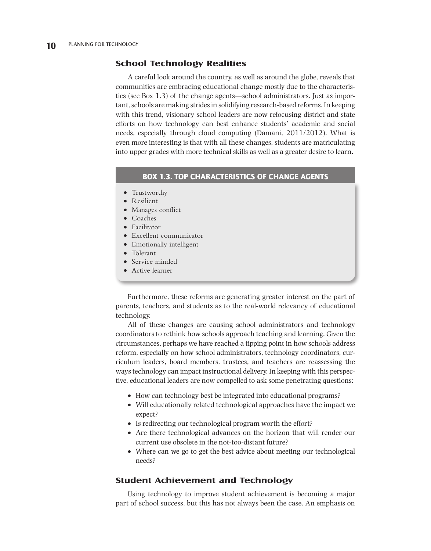## **School Technology Realities**

A careful look around the country, as well as around the globe, reveals that communities are embracing educational change mostly due to the characteristics (see Box 1.3) of the change agents—school administrators. Just as important, schools are making strides in solidifying research-based reforms. In keeping with this trend, visionary school leaders are now refocusing district and state efforts on how technology can best enhance students' academic and social needs, especially through cloud computing (Damani, 2011/2012). What is even more interesting is that with all these changes, students are matriculating into upper grades with more technical skills as well as a greater desire to learn.

## BOX 1.3. TOP CHARACTERISTICS OF CHANGE AGENTS

- Trustworthy
- Resilient
- Manages conflict
- Coaches
- Facilitator
- Excellent communicator
- Emotionally intelligent
- Tolerant
- Service minded
- Active learner

Furthermore, these reforms are generating greater interest on the part of parents, teachers, and students as to the real-world relevancy of educational technology.

All of these changes are causing school administrators and technology coordinators to rethink how schools approach teaching and learning. Given the circumstances, perhaps we have reached a tipping point in how schools address reform, especially on how school administrators, technology coordinators, curriculum leaders, board members, trustees, and teachers are reassessing the ways technology can impact instructional delivery. In keeping with this perspective, educational leaders are now compelled to ask some penetrating questions:

- How can technology best be integrated into educational programs?
- Will educationally related technological approaches have the impact we expect?
- Is redirecting our technological program worth the effort?
- Are there technological advances on the horizon that will render our current use obsolete in the not-too-distant future?
- Where can we go to get the best advice about meeting our technological needs?

## **Student Achievement and Technology**

Using technology to improve student achievement is becoming a major part of school success, but this has not always been the case. An emphasis on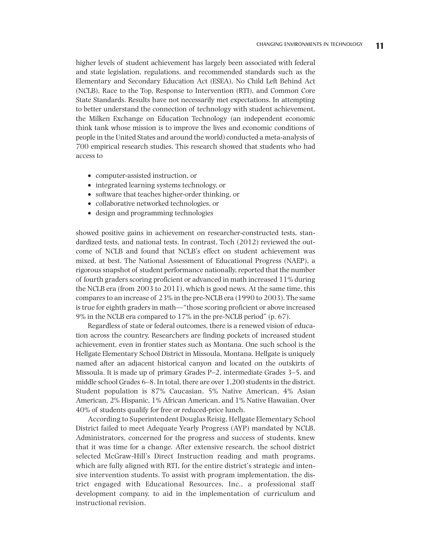higher levels of student achievement has largely been associated with federal and state legislation, regulations, and recommended standards such as the Elementary and Secondary Education Act (ESEA), No Child Left Behind Act (NCLB), Race to the Top, Response to Intervention (RTI), and Common Core State Standards. Results have not necessarily met expectations. In attempting to better understand the connection of technology with student achievement, the Milken Exchange on Education Technology (an independent economic think tank whose mission is to improve the lives and economic conditions of people in the United States and around the world) conducted a meta-analysis of 700 empirical research studies. This research showed that students who had access to

- computer-assisted instruction, or
- integrated learning systems technology, or
- software that teaches higher-order thinking, or
- collaborative networked technologies, or
- design and programming technologies

showed positive gains in achievement on researcher-constructed tests, standardized tests, and national tests. In contrast, Toch (2012) reviewed the outcome of NCLB and found that NCLB's effect on student achievement was mixed, at best. The National Assessment of Educational Progress (NAEP), a rigorous snapshot of student performance nationally, reported that the number of fourth graders scoring proficient or advanced in math increased 11% during the NCLB era (from 2003 to 2011), which is good news. At the same time, this compares to an increase of 23% in the pre-NCLB era (1990 to 2003). The same is true for eighth graders in math—"those scoring proficient or above increased 9% in the NCLB era compared to 17% in the pre-NCLB period" (p. 67).

Regardless of state or federal outcomes, there is a renewed vision of education across the country. Researchers are finding pockets of increased student achievement, even in frontier states such as Montana. One such school is the Hellgate Elementary School District in Missoula, Montana. Hellgate is uniquely named after an adjacent historical canyon and located on the outskirts of Missoula. It is made up of primary Grades P–2, intermediate Grades 3–5, and middle school Grades 6–8. In total, there are over 1,200 students in the district. Student population is 87% Caucasian, 5% Native American, 4% Asian American, 2% Hispanic, 1% African American, and 1% Native Hawaiian. Over 40% of students qualify for free or reduced-price lunch.

According to Superintendent Douglas Reisig, Hellgate Elementary School District failed to meet Adequate Yearly Progress (AYP) mandated by NCLB. Administrators, concerned for the progress and success of students, knew that it was time for a change. After extensive research, the school district selected McGraw-Hill's Direct Instruction reading and math programs, which are fully aligned with RTI, for the entire district's strategic and intensive intervention students. To assist with program implementation, the district engaged with Educational Resources, Inc., a professional staff development company, to aid in the implementation of curriculum and instructional revision.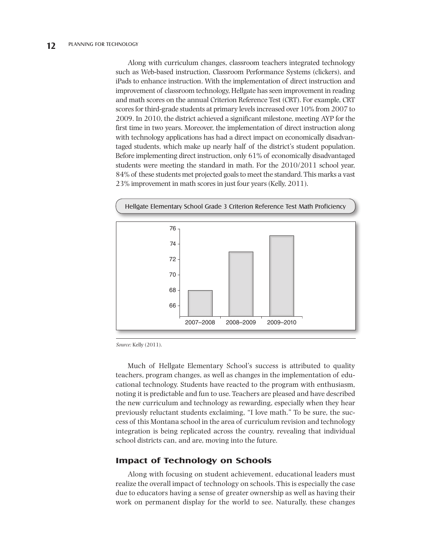Along with curriculum changes, classroom teachers integrated technology such as Web-based instruction, Classroom Performance Systems (clickers), and iPads to enhance instruction. With the implementation of direct instruction and improvement of classroom technology, Hellgate has seen improvement in reading and math scores on the annual Criterion Reference Test (CRT). For example, CRT scores for third-grade students at primary levels increased over 10% from 2007 to 2009. In 2010, the district achieved a significant milestone, meeting AYP for the first time in two years. Moreover, the implementation of direct instruction along with technology applications has had a direct impact on economically disadvantaged students, which make up nearly half of the district's student population. Before implementing direct instruction, only 61% of economically disadvantaged students were meeting the standard in math. For the 2010/2011 school year, 84% of these students met projected goals to meet the standard. This marks a vast 23% improvement in math scores in just four years (Kelly, 2011).



*Source:* Kelly (2011).

Much of Hellgate Elementary School's success is attributed to quality teachers, program changes, as well as changes in the implementation of educational technology. Students have reacted to the program with enthusiasm, noting it is predictable and fun to use. Teachers are pleased and have described the new curriculum and technology as rewarding, especially when they hear previously reluctant students exclaiming, "I love math." To be sure, the success of this Montana school in the area of curriculum revision and technology integration is being replicated across the country, revealing that individual school districts can, and are, moving into the future.

## **Impact of Technology on Schools**

Along with focusing on student achievement, educational leaders must realize the overall impact of technology on schools. This is especially the case due to educators having a sense of greater ownership as well as having their work on permanent display for the world to see. Naturally, these changes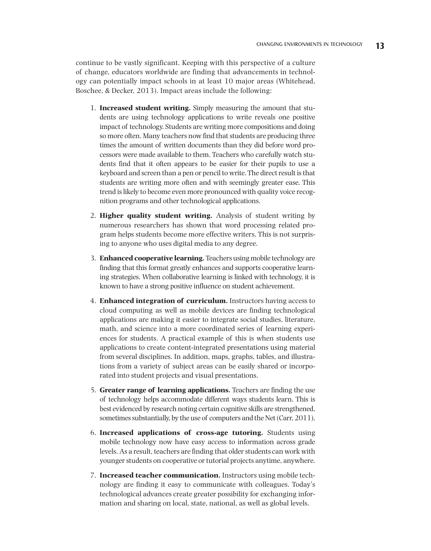continue to be vastly significant. Keeping with this perspective of a culture of change, educators worldwide are finding that advancements in technology can potentially impact schools in at least 10 major areas (Whitehead, Boschee, & Decker, 2013). Impact areas include the following:

- 1. **Increased student writing.** Simply measuring the amount that students are using technology applications to write reveals one positive impact of technology. Students are writing more compositions and doing so more often. Many teachers now find that students are producing three times the amount of written documents than they did before word processors were made available to them. Teachers who carefully watch students find that it often appears to be easier for their pupils to use a keyboard and screen than a pen or pencil to write. The direct result is that students are writing more often and with seemingly greater ease. This trend is likely to become even more pronounced with quality voice recognition programs and other technological applications.
- 2. **Higher quality student writing.** Analysis of student writing by numerous researchers has shown that word processing related program helps students become more effective writers. This is not surprising to anyone who uses digital media to any degree.
- 3. **Enhanced cooperative learning.** Teachers using mobile technology are finding that this format greatly enhances and supports cooperative learning strategies. When collaborative learning is linked with technology, it is known to have a strong positive influence on student achievement.
- 4. **Enhanced integration of curriculum.** Instructors having access to cloud computing as well as mobile devices are finding technological applications are making it easier to integrate social studies, literature, math, and science into a more coordinated series of learning experiences for students. A practical example of this is when students use applications to create content-integrated presentations using material from several disciplines. In addition, maps, graphs, tables, and illustrations from a variety of subject areas can be easily shared or incorporated into student projects and visual presentations.
- 5. **Greater range of learning applications.** Teachers are finding the use of technology helps accommodate different ways students learn. This is best evidenced by research noting certain cognitive skills are strengthened, sometimes substantially, by the use of computers and the Net (Carr, 2011).
- 6. **Increased applications of cross-age tutoring.** Students using mobile technology now have easy access to information across grade levels. As a result, teachers are finding that older students can work with younger students on cooperative or tutorial projects anytime, anywhere.
- 7. **Increased teacher communication.** Instructors using mobile technology are finding it easy to communicate with colleagues. Today's technological advances create greater possibility for exchanging information and sharing on local, state, national, as well as global levels.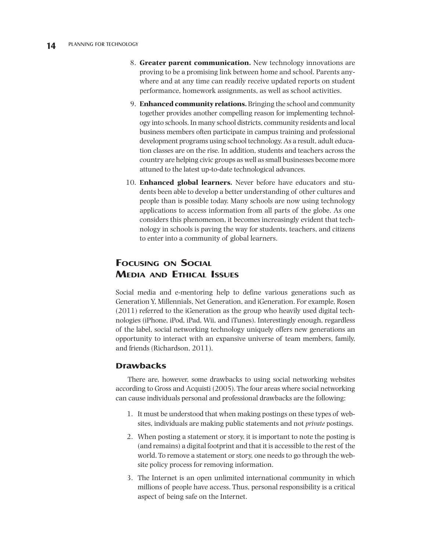- 8. **Greater parent communication.** New technology innovations are proving to be a promising link between home and school. Parents anywhere and at any time can readily receive updated reports on student performance, homework assignments, as well as school activities.
- 9. **Enhanced community relations.** Bringing the school and community together provides another compelling reason for implementing technology into schools. In many school districts, community residents and local business members often participate in campus training and professional development programs using school technology. As a result, adult education classes are on the rise. In addition, students and teachers across the country are helping civic groups as well as small businesses become more attuned to the latest up-to-date technological advances.
- 10. **Enhanced global learners.** Never before have educators and students been able to develop a better understanding of other cultures and people than is possible today. Many schools are now using technology applications to access information from all parts of the globe. As one considers this phenomenon, it becomes increasingly evident that technology in schools is paving the way for students, teachers, and citizens to enter into a community of global learners.

# **Focusing on Social Media and Ethical Issues**

Social media and e-mentoring help to define various generations such as Generation Y, Millennials, Net Generation, and iGeneration. For example, Rosen (2011) referred to the iGeneration as the group who heavily used digital technologies (iPhone, iPod, iPad, Wii, and iTunes). Interestingly enough, regardless of the label, social networking technology uniquely offers new generations an opportunity to interact with an expansive universe of team members, family, and friends (Richardson, 2011).

## **Drawbacks**

There are, however, some drawbacks to using social networking websites according to Gross and Acquisti (2005). The four areas where social networking can cause individuals personal and professional drawbacks are the following:

- 1. It must be understood that when making postings on these types of websites, individuals are making public statements and not *private* postings.
- 2. When posting a statement or story, it is important to note the posting is (and remains) a digital footprint and that it is accessible to the rest of the world. To remove a statement or story, one needs to go through the website policy process for removing information.
- 3. The Internet is an open unlimited international community in which millions of people have access. Thus, personal responsibility is a critical aspect of being safe on the Internet.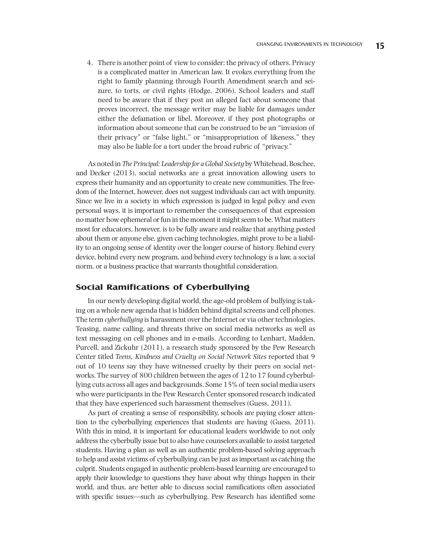4. There is another point of view to consider: the privacy of others. Privacy is a complicated matter in American law. It evokes everything from the right to family planning through Fourth Amendment search and seizure, to torts, or civil rights (Hodge, 2006). School leaders and staff need to be aware that if they post an alleged fact about someone that proves incorrect, the message writer may be liable for damages under either the defamation or libel. Moreover, if they post photographs or information about someone that can be construed to be an "invasion of their privacy" or "false light," or "misappropriation of likeness," they may also be liable for a tort under the broad rubric of "privacy."

As noted in *The Principal: Leadership for a Global Society* by Whitehead, Boschee, and Decker (2013), social networks are a great innovation allowing users to express their humanity and an opportunity to create new communities. The freedom of the Internet, however, does not suggest individuals can act with impunity. Since we live in a society in which expression is judged in legal policy and even personal ways, it is important to remember the consequences of that expression no matter how ephemeral or fun in the moment it might seem to be. What matters most for educators, however, is to be fully aware and realize that anything posted about them or anyone else, given caching technologies, might prove to be a liability to an ongoing sense of identity over the longer course of history. Behind every device, behind every new program, and behind every technology is a law, a social norm, or a business practice that warrants thoughtful consideration.

#### **Social Ramifications of Cyberbullying**

In our newly developing digital world, the age-old problem of bullying is taking on a whole new agenda that is hidden behind digital screens and cell phones. The term *cyberbullying* is harassment over the Internet or via other technologies. Teasing, name calling, and threats thrive on social media networks as well as text messaging on cell phones and in e-mails. According to Lenhart, Madden, Purcell, and Zickuhr (2011), a research study sponsored by the Pew Research Center titled *Teens, Kindness and Cruelty on Social Network Sites* reported that 9 out of 10 teens say they have witnessed cruelty by their peers on social networks. The survey of 800 children between the ages of 12 to 17 found cyberbullying cuts across all ages and backgrounds. Some 15% of teen social media users who were participants in the Pew Research Center sponsored research indicated that they have experienced such harassment themselves (Guess, 2011).

As part of creating a sense of responsibility, schools are paying closer attention to the cyberbullying experiences that students are having (Guess, 2011). With this in mind, it is important for educational leaders worldwide to not only address the cyberbully issue but to also have counselors available to assist targeted students. Having a plan as well as an authentic problem-based solving approach to help and assist victims of cyberbullying can be just as important as catching the culprit. Students engaged in authentic problem-based learning are encouraged to apply their knowledge to questions they have about why things happen in their world, and thus, are better able to discuss social ramifications often associated with specific issues—such as cyberbullying. Pew Research has identified some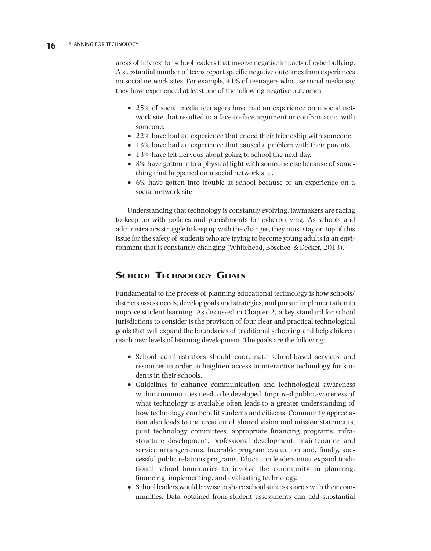areas of interest for school leaders that involve negative impacts of cyberbullying. A substantial number of teens report specific negative outcomes from experiences on social network sites. For example, 41% of teenagers who use social media say they have experienced at least one of the following negative outcomes:

- 25% of social media teenagers have had an experience on a social network site that resulted in a face-to-face argument or confrontation with someone.
- 22% have had an experience that ended their friendship with someone.
- 13% have had an experience that caused a problem with their parents.
- 13% have felt nervous about going to school the next day.
- 8% have gotten into a physical fight with someone else because of something that happened on a social network site.
- 6% have gotten into trouble at school because of an experience on a social network site.

Understanding that technology is constantly evolving, lawmakers are racing to keep up with policies and punishments for cyberbullying. As schools and administrators struggle to keep up with the changes, they must stay on top of this issue for the safety of students who are trying to become young adults in an environment that is constantly changing (Whitehead, Boschee, & Decker, 2013).

## **School Technology Goals**

Fundamental to the process of planning educational technology is how schools/ districts assess needs, develop goals and strategies, and pursue implementation to improve student learning. As discussed in Chapter 2, a key standard for school jurisdictions to consider is the provision of four clear and practical technological goals that will expand the boundaries of traditional schooling and help children reach new levels of learning development. The goals are the following:

- School administrators should coordinate school-based services and resources in order to heighten access to interactive technology for students in their schools.
- Guidelines to enhance communication and technological awareness within communities need to be developed. Improved public awareness of what technology is available often leads to a greater understanding of how technology can benefit students and citizens. Community appreciation also leads to the creation of shared vision and mission statements, joint technology committees, appropriate financing programs, infrastructure development, professional development, maintenance and service arrangements, favorable program evaluation and, finally, successful public relations programs. Education leaders must expand traditional school boundaries to involve the community in planning, financing, implementing, and evaluating technology.
- School leaders would be wise to share school success stories with their communities. Data obtained from student assessments can add substantial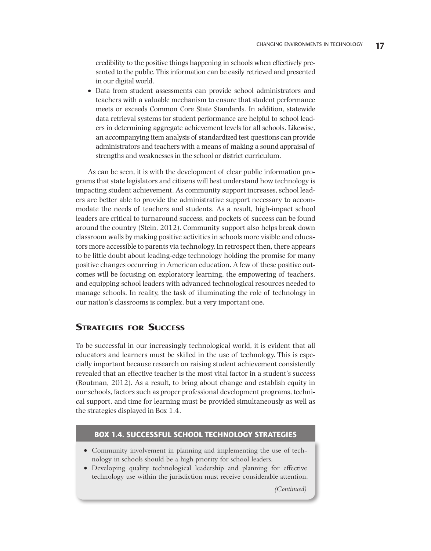credibility to the positive things happening in schools when effectively presented to the public. This information can be easily retrieved and presented in our digital world.

• Data from student assessments can provide school administrators and teachers with a valuable mechanism to ensure that student performance meets or exceeds Common Core State Standards. In addition, statewide data retrieval systems for student performance are helpful to school leaders in determining aggregate achievement levels for all schools. Likewise, an accompanying item analysis of standardized test questions can provide administrators and teachers with a means of making a sound appraisal of strengths and weaknesses in the school or district curriculum.

As can be seen, it is with the development of clear public information programs that state legislators and citizens will best understand how technology is impacting student achievement. As community support increases, school leaders are better able to provide the administrative support necessary to accommodate the needs of teachers and students. As a result, high-impact school leaders are critical to turnaround success, and pockets of success can be found around the country (Stein, 2012). Community support also helps break down classroom walls by making positive activities in schools more visible and educators more accessible to parents via technology. In retrospect then, there appears to be little doubt about leading-edge technology holding the promise for many positive changes occurring in American education. A few of these positive outcomes will be focusing on exploratory learning, the empowering of teachers, and equipping school leaders with advanced technological resources needed to manage schools. In reality, the task of illuminating the role of technology in our nation's classrooms is complex, but a very important one.

## **Strategies for Success**

To be successful in our increasingly technological world, it is evident that all educators and learners must be skilled in the use of technology. This is especially important because research on raising student achievement consistently revealed that an effective teacher is the most vital factor in a student's success (Routman, 2012). As a result, to bring about change and establish equity in our schools, factors such as proper professional development programs, technical support, and time for learning must be provided simultaneously as well as the strategies displayed in Box 1.4.

## BOX 1.4. SUCCESSFUL SCHOOL TECHNOLOGY STRATEGIES

- Community involvement in planning and implementing the use of technology in schools should be a high priority for school leaders.
- Developing quality technological leadership and planning for effective technology use within the jurisdiction must receive considerable attention.

*(Continued)*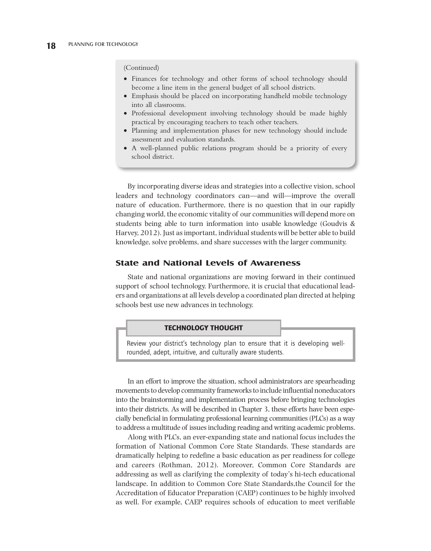(Continued)

- Finances for technology and other forms of school technology should become a line item in the general budget of all school districts.
- Emphasis should be placed on incorporating handheld mobile technology into all classrooms.
- Professional development involving technology should be made highly practical by encouraging teachers to teach other teachers.
- Planning and implementation phases for new technology should include assessment and evaluation standards.
- A well-planned public relations program should be a priority of every school district.

By incorporating diverse ideas and strategies into a collective vision, school leaders and technology coordinators can—and will—improve the overall nature of education. Furthermore, there is no question that in our rapidly changing world, the economic vitality of our communities will depend more on students being able to turn information into usable knowledge (Goudvis & Harvey, 2012). Just as important, individual students will be better able to build knowledge, solve problems, and share successes with the larger community.

## **State and National Levels of Awareness**

State and national organizations are moving forward in their continued support of school technology. Furthermore, it is crucial that educational leaders and organizations at all levels develop a coordinated plan directed at helping schools best use new advances in technology.

#### TECHNOLOGY THOUGHT

Review your district's technology plan to ensure that it is developing wellrounded, adept, intuitive, and culturally aware students.

In an effort to improve the situation, school administrators are spearheading movements to develop community frameworks to include influential noneducators into the brainstorming and implementation process before bringing technologies into their districts. As will be described in Chapter 3, these efforts have been especially beneficial in formulating professional learning communities (PLCs) as a way to address a multitude of issues including reading and writing academic problems.

Along with PLCs, an ever-expanding state and national focus includes the formation of National Common Core State Standards. These standards are dramatically helping to redefine a basic education as per readiness for college and careers (Rothman, 2012). Moreover, Common Core Standards are addressing as well as clarifying the complexity of today's hi-tech educational landscape. In addition to Common Core State Standards,the Council for the Accreditation of Educator Preparation (CAEP) continues to be highly involved as well. For example, CAEP requires schools of education to meet verifiable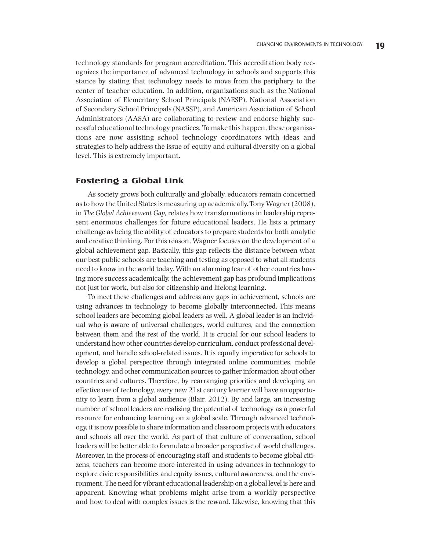technology standards for program accreditation. This accreditation body recognizes the importance of advanced technology in schools and supports this stance by stating that technology needs to move from the periphery to the center of teacher education. In addition, organizations such as the National Association of Elementary School Principals (NAESP), National Association of Secondary School Principals (NASSP), and American Association of School Administrators (AASA) are collaborating to review and endorse highly successful educational technology practices. To make this happen, these organizations are now assisting school technology coordinators with ideas and strategies to help address the issue of equity and cultural diversity on a global level. This is extremely important.

## **Fostering a Global Link**

As society grows both culturally and globally, educators remain concerned as to how the United States is measuring up academically. Tony Wagner (2008), in *The Global Achievement Gap,* relates how transformations in leadership represent enormous challenges for future educational leaders. He lists a primary challenge as being the ability of educators to prepare students for both analytic and creative thinking. For this reason, Wagner focuses on the development of a global achievement gap. Basically, this gap reflects the distance between what our best public schools are teaching and testing as opposed to what all students need to know in the world today. With an alarming fear of other countries having more success academically, the achievement gap has profound implications not just for work, but also for citizenship and lifelong learning.

To meet these challenges and address any gaps in achievement, schools are using advances in technology to become globally interconnected. This means school leaders are becoming global leaders as well. A global leader is an individual who is aware of universal challenges, world cultures, and the connection between them and the rest of the world. It is crucial for our school leaders to understand how other countries develop curriculum, conduct professional development, and handle school-related issues. It is equally imperative for schools to develop a global perspective through integrated online communities, mobile technology, and other communication sources to gather information about other countries and cultures. Therefore, by rearranging priorities and developing an effective use of technology, every new 21st century learner will have an opportunity to learn from a global audience (Blair, 2012). By and large, an increasing number of school leaders are realizing the potential of technology as a powerful resource for enhancing learning on a global scale. Through advanced technology, it is now possible to share information and classroom projects with educators and schools all over the world. As part of that culture of conversation, school leaders will be better able to formulate a broader perspective of world challenges. Moreover, in the process of encouraging staff and students to become global citizens, teachers can become more interested in using advances in technology to explore civic responsibilities and equity issues, cultural awareness, and the environment. The need for vibrant educational leadership on a global level is here and apparent. Knowing what problems might arise from a worldly perspective and how to deal with complex issues is the reward. Likewise, knowing that this